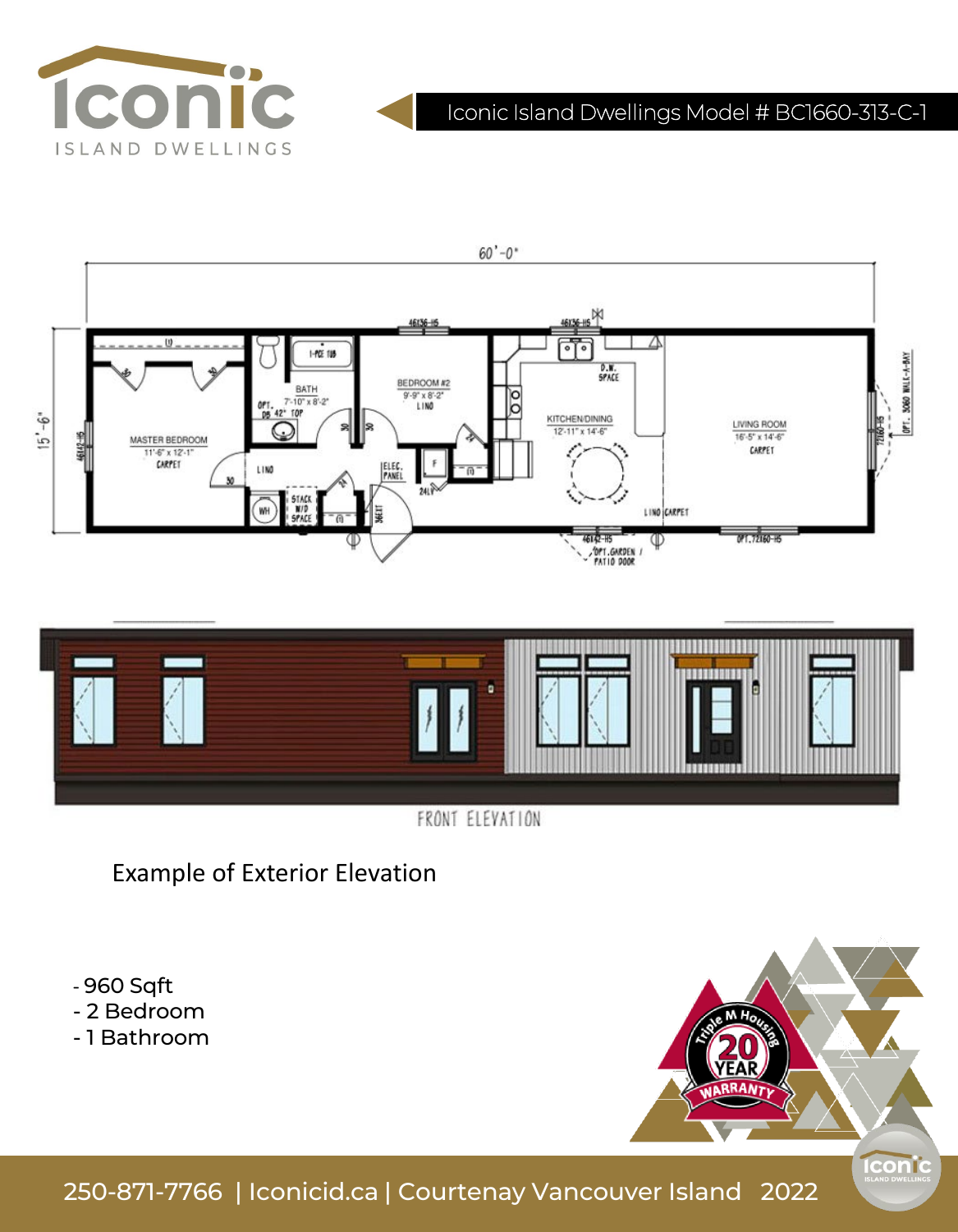

# Iconic Island Dwellings Model # BC1660-313-C-1





FRONT ELEVATION

Example of Exterior Elevation

- 960 Sqft - 2 Bedroom

- 1 Bathroom



250-871-7766 | Iconicid.ca | Courtenay Vancouver Island 2022